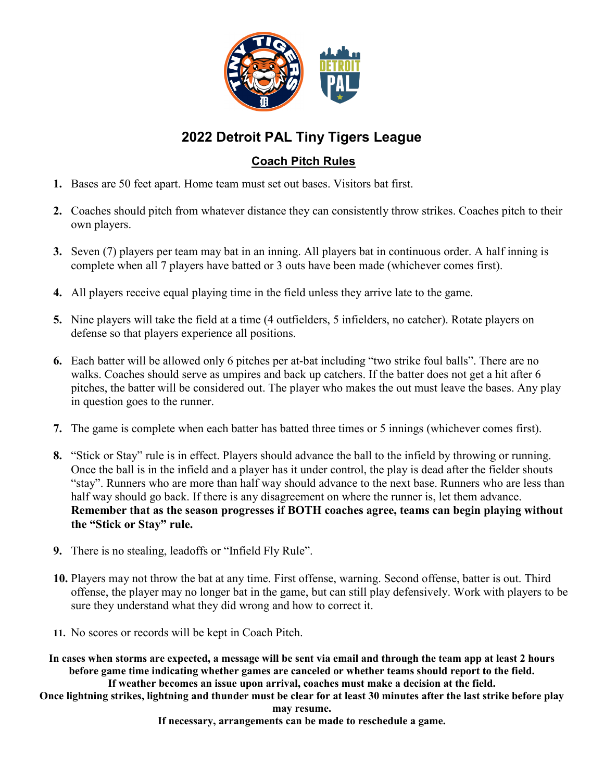

## **2022 Detroit PAL Tiny Tigers League**

## **Coach Pitch Rules**

- **1.** Bases are 50 feet apart. Home team must set out bases. Visitors bat first.
- **2.** Coaches should pitch from whatever distance they can consistently throw strikes. Coaches pitch to their own players.
- **3.** Seven (7) players per team may bat in an inning. All players bat in continuous order. A half inning is complete when all 7 players have batted or 3 outs have been made (whichever comes first).
- **4.** All players receive equal playing time in the field unless they arrive late to the game.
- **5.** Nine players will take the field at a time (4 outfielders, 5 infielders, no catcher). Rotate players on defense so that players experience all positions.
- **6.** Each batter will be allowed only 6 pitches per at-bat including "two strike foul balls". There are no walks. Coaches should serve as umpires and back up catchers. If the batter does not get a hit after 6 pitches, the batter will be considered out. The player who makes the out must leave the bases. Any play in question goes to the runner.
- **7.** The game is complete when each batter has batted three times or 5 innings (whichever comes first).
- **8.** "Stick or Stay" rule is in effect. Players should advance the ball to the infield by throwing or running. Once the ball is in the infield and a player has it under control, the play is dead after the fielder shouts "stay". Runners who are more than half way should advance to the next base. Runners who are less than half way should go back. If there is any disagreement on where the runner is, let them advance. **Remember that as the season progresses if BOTH coaches agree, teams can begin playing without the "Stick or Stay" rule.**
- **9.** There is no stealing, leadoffs or "Infield Fly Rule".
- **10.** Players may not throw the bat at any time. First offense, warning. Second offense, batter is out. Third offense, the player may no longer bat in the game, but can still play defensively. Work with players to be sure they understand what they did wrong and how to correct it.
- **11.** No scores or records will be kept in Coach Pitch.

**In cases when storms are expected, a message will be sent via email and through the team app at least 2 hours before game time indicating whether games are canceled or whether teams should report to the field. If weather becomes an issue upon arrival, coaches must make a decision at the field.**

**Once lightning strikes, lightning and thunder must be clear for at least 30 minutes after the last strike before play may resume.** 

**If necessary, arrangements can be made to reschedule a game.**